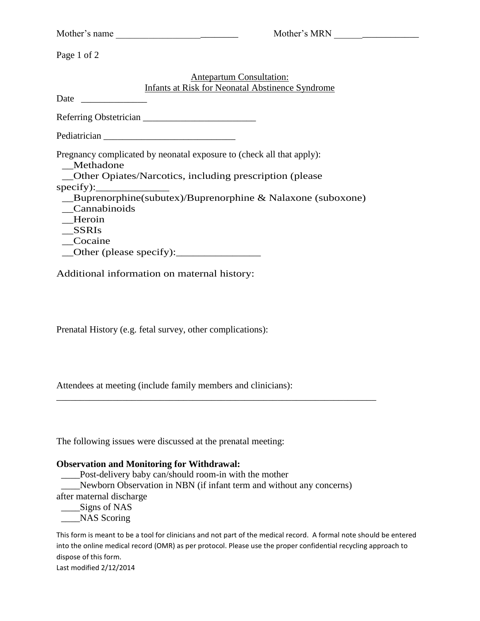|                         | Mother's MRN<br>Mother's name                                                                                                    |
|-------------------------|----------------------------------------------------------------------------------------------------------------------------------|
| Page 1 of 2             |                                                                                                                                  |
|                         | <b>Antepartum Consultation:</b><br><b>Infants at Risk for Neonatal Abstinence Syndrome</b>                                       |
| Date                    |                                                                                                                                  |
|                         |                                                                                                                                  |
|                         |                                                                                                                                  |
| Methadone               | Pregnancy complicated by neonatal exposure to (check all that apply):<br>Other Opiates/Narcotics, including prescription (please |
| $specify)$ :            |                                                                                                                                  |
| Cannabinoids            | __Buprenorphine(subutex)/Buprenorphine & Nalaxone (suboxone)                                                                     |
| Heroin                  |                                                                                                                                  |
| <b>SSRIs</b><br>Cocaine |                                                                                                                                  |
|                         |                                                                                                                                  |

Additional information on maternal history:

Prenatal History (e.g. fetal survey, other complications):

Attendees at meeting (include family members and clinicians):

The following issues were discussed at the prenatal meeting:

#### **Observation and Monitoring for Withdrawal:**

 \_\_\_\_Post-delivery baby can/should room-in with the mother \_\_\_\_Newborn Observation in NBN (if infant term and without any concerns) after maternal discharge \_\_\_\_Signs of NAS

\_\_\_\_\_\_\_\_\_\_\_\_\_\_\_\_\_\_\_\_\_\_\_\_\_\_\_\_\_\_\_\_\_\_\_\_\_\_\_\_\_\_\_\_\_\_\_\_\_\_\_\_\_\_\_\_\_\_\_\_\_\_\_\_\_\_\_\_

\_\_\_NAS Scoring

This form is meant to be a tool for clinicians and not part of the medical record. A formal note should be entered into the online medical record (OMR) as per protocol. Please use the proper confidential recycling approach to dispose of this form. Last modified 2/12/2014